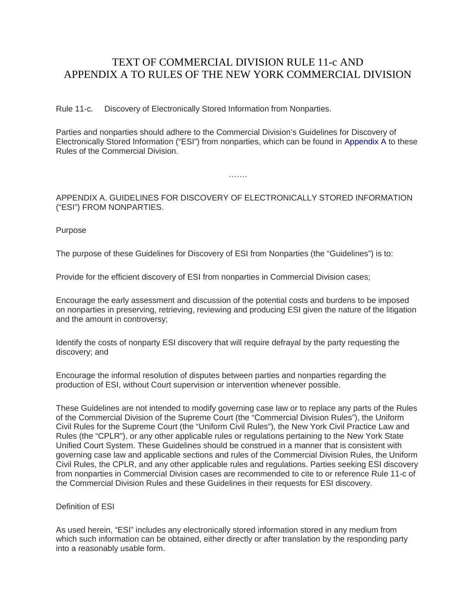## TEXT OF COMMERCIAL DIVISION RULE 11-c AND APPENDIX A TO RULES OF THE NEW YORK COMMERCIAL DIVISION

Rule 11-c. Discovery of Electronically Stored Information from Nonparties.

Parties and nonparties should adhere to the Commercial Division's Guidelines for Discovery of Electronically Stored Information ("ESI") from nonparties, which can be found in [Appendix A](http://ww2.nycourts.gov/rules/trialcourts/202.shtml#AppendixA) to these Rules of the Commercial Division.

………

APPENDIX A. GUIDELINES FOR DISCOVERY OF ELECTRONICALLY STORED INFORMATION ("ESI") FROM NONPARTIES.

Purpose

The purpose of these Guidelines for Discovery of ESI from Nonparties (the "Guidelines") is to:

Provide for the efficient discovery of ESI from nonparties in Commercial Division cases;

Encourage the early assessment and discussion of the potential costs and burdens to be imposed on nonparties in preserving, retrieving, reviewing and producing ESI given the nature of the litigation and the amount in controversy;

Identify the costs of nonparty ESI discovery that will require defrayal by the party requesting the discovery; and

Encourage the informal resolution of disputes between parties and nonparties regarding the production of ESI, without Court supervision or intervention whenever possible.

These Guidelines are not intended to modify governing case law or to replace any parts of the Rules of the Commercial Division of the Supreme Court (the "Commercial Division Rules"), the Uniform Civil Rules for the Supreme Court (the "Uniform Civil Rules"), the New York Civil Practice Law and Rules (the "CPLR"), or any other applicable rules or regulations pertaining to the New York State Unified Court System. These Guidelines should be construed in a manner that is consistent with governing case law and applicable sections and rules of the Commercial Division Rules, the Uniform Civil Rules, the CPLR, and any other applicable rules and regulations. Parties seeking ESI discovery from nonparties in Commercial Division cases are recommended to cite to or reference Rule 11-c of the Commercial Division Rules and these Guidelines in their requests for ESI discovery.

Definition of ESI

As used herein, "ESI" includes any electronically stored information stored in any medium from which such information can be obtained, either directly or after translation by the responding party into a reasonably usable form.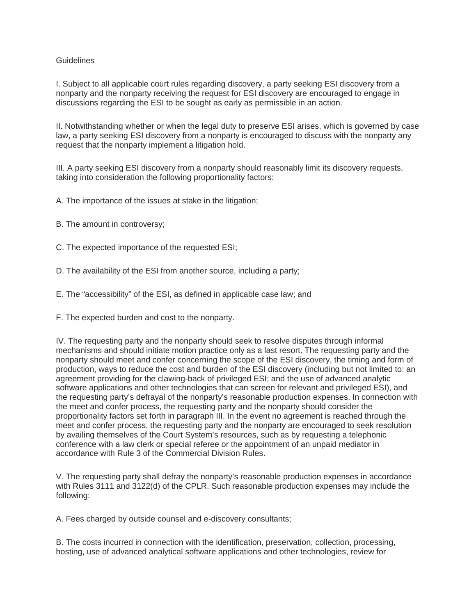## **Guidelines**

I. Subject to all applicable court rules regarding discovery, a party seeking ESI discovery from a nonparty and the nonparty receiving the request for ESI discovery are encouraged to engage in discussions regarding the ESI to be sought as early as permissible in an action.

II. Notwithstanding whether or when the legal duty to preserve ESI arises, which is governed by case law, a party seeking ESI discovery from a nonparty is encouraged to discuss with the nonparty any request that the nonparty implement a litigation hold.

III. A party seeking ESI discovery from a nonparty should reasonably limit its discovery requests, taking into consideration the following proportionality factors:

A. The importance of the issues at stake in the litigation;

B. The amount in controversy;

C. The expected importance of the requested ESI;

D. The availability of the ESI from another source, including a party;

E. The "accessibility" of the ESI, as defined in applicable case law; and

F. The expected burden and cost to the nonparty.

IV. The requesting party and the nonparty should seek to resolve disputes through informal mechanisms and should initiate motion practice only as a last resort. The requesting party and the nonparty should meet and confer concerning the scope of the ESI discovery, the timing and form of production, ways to reduce the cost and burden of the ESI discovery (including but not limited to: an agreement providing for the clawing-back of privileged ESI; and the use of advanced analytic software applications and other technologies that can screen for relevant and privileged ESI), and the requesting party's defrayal of the nonparty's reasonable production expenses. In connection with the meet and confer process, the requesting party and the nonparty should consider the proportionality factors set forth in paragraph III. In the event no agreement is reached through the meet and confer process, the requesting party and the nonparty are encouraged to seek resolution by availing themselves of the Court System's resources, such as by requesting a telephonic conference with a law clerk or special referee or the appointment of an unpaid mediator in accordance with Rule 3 of the Commercial Division Rules.

V. The requesting party shall defray the nonparty's reasonable production expenses in accordance with Rules 3111 and 3122(d) of the CPLR. Such reasonable production expenses may include the following:

A. Fees charged by outside counsel and e-discovery consultants;

B. The costs incurred in connection with the identification, preservation, collection, processing, hosting, use of advanced analytical software applications and other technologies, review for